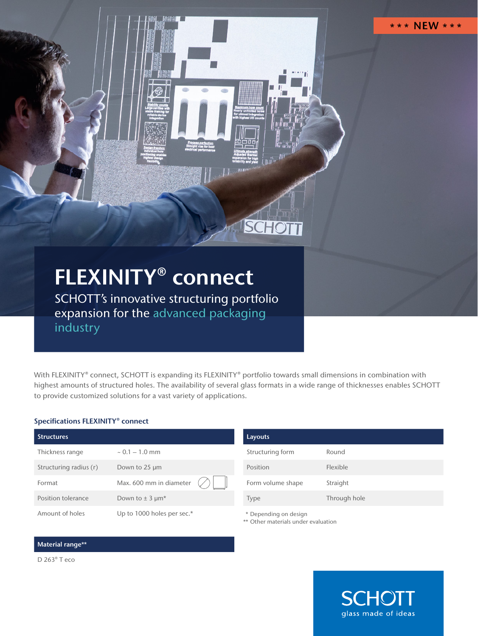# FLEXINITY® connect

SCHOTT's innovative structuring portfolio expansion for the advanced packaging industry

With FLEXINITY® connect, SCHOTT is expanding its FLEXINITY® portfolio towards small dimensions in combination with highest amounts of structured holes. The availability of several glass formats in a wide range of thicknesses enables SCHOTT to provide customized solutions for a vast variety of applications.

#### Specifications FLEXINITY® connect

| <b>Structures</b>      |                                 |
|------------------------|---------------------------------|
| Thickness range        | $\sim 0.1 - 1.0$ mm             |
| Structuring radius (r) | Down to 25 um                   |
| Format                 | Max. 600 mm in diameter         |
| Position tolerance     | Down to $\pm$ 3 µm <sup>*</sup> |
| Amount of holes        | Up to 1000 holes per sec.*      |

| Layouts           |              |
|-------------------|--------------|
| Structuring form  | Round        |
| Position          | Flexible     |
| Form volume shape | Straight     |
| Type              | Through hole |

\* Depending on design

**SCHOTT** 

\*\* Other materials under evaluation

#### Material range\*\*

D 263® T eco